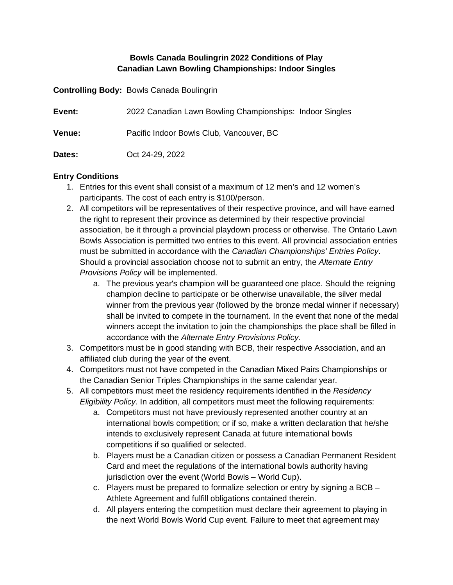## **Bowls Canada Boulingrin 2022 Conditions of Play Canadian Lawn Bowling Championships: Indoor Singles**

**Controlling Body:** Bowls Canada Boulingrin

| Event:        | 2022 Canadian Lawn Bowling Championships: Indoor Singles |
|---------------|----------------------------------------------------------|
| <b>Venue:</b> | Pacific Indoor Bowls Club, Vancouver, BC                 |
| Dates:        | Oct 24-29, 2022                                          |

#### **Entry Conditions**

- 1. Entries for this event shall consist of a maximum of 12 men's and 12 women's participants. The cost of each entry is \$100/person.
- 2. All competitors will be representatives of their respective province, and will have earned the right to represent their province as determined by their respective provincial association, be it through a provincial playdown process or otherwise. The Ontario Lawn Bowls Association is permitted two entries to this event. All provincial association entries must be submitted in accordance with the *Canadian Championships' Entries Policy*. Should a provincial association choose not to submit an entry, the *Alternate Entry Provisions Policy* will be implemented.
	- a. The previous year's champion will be guaranteed one place. Should the reigning champion decline to participate or be otherwise unavailable, the silver medal winner from the previous year (followed by the bronze medal winner if necessary) shall be invited to compete in the tournament. In the event that none of the medal winners accept the invitation to join the championships the place shall be filled in accordance with the *Alternate Entry Provisions Policy.*
- 3. Competitors must be in good standing with BCB, their respective Association, and an affiliated club during the year of the event.
- 4. Competitors must not have competed in the Canadian Mixed Pairs Championships or the Canadian Senior Triples Championships in the same calendar year.
- 5. All competitors must meet the residency requirements identified in the *Residency Eligibility Policy.* In addition, all competitors must meet the following requirements:
	- a. Competitors must not have previously represented another country at an international bowls competition; or if so, make a written declaration that he/she intends to exclusively represent Canada at future international bowls competitions if so qualified or selected.
	- b. Players must be a Canadian citizen or possess a Canadian Permanent Resident Card and meet the regulations of the international bowls authority having jurisdiction over the event (World Bowls – World Cup).
	- c. Players must be prepared to formalize selection or entry by signing a BCB Athlete Agreement and fulfill obligations contained therein.
	- d. All players entering the competition must declare their agreement to playing in the next World Bowls World Cup event. Failure to meet that agreement may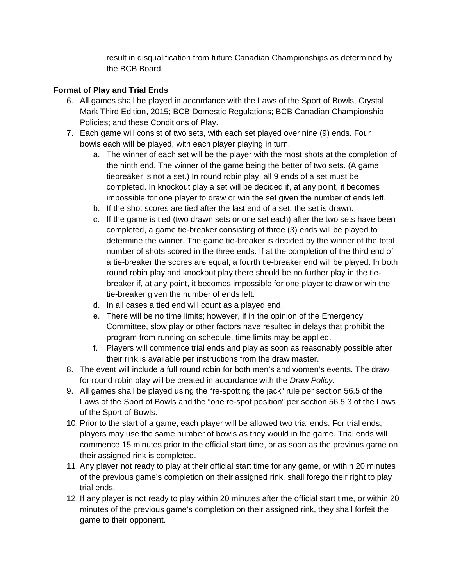result in disqualification from future Canadian Championships as determined by the BCB Board.

# **Format of Play and Trial Ends**

- 6. All games shall be played in accordance with the Laws of the Sport of Bowls, Crystal Mark Third Edition, 2015; BCB Domestic Regulations; BCB Canadian Championship Policies; and these Conditions of Play.
- 7. Each game will consist of two sets, with each set played over nine (9) ends. Four bowls each will be played, with each player playing in turn.
	- a. The winner of each set will be the player with the most shots at the completion of the ninth end. The winner of the game being the better of two sets. (A game tiebreaker is not a set.) In round robin play, all 9 ends of a set must be completed. In knockout play a set will be decided if, at any point, it becomes impossible for one player to draw or win the set given the number of ends left.
	- b. If the shot scores are tied after the last end of a set, the set is drawn.
	- c. If the game is tied (two drawn sets or one set each) after the two sets have been completed, a game tie-breaker consisting of three (3) ends will be played to determine the winner. The game tie-breaker is decided by the winner of the total number of shots scored in the three ends. If at the completion of the third end of a tie-breaker the scores are equal, a fourth tie-breaker end will be played. In both round robin play and knockout play there should be no further play in the tiebreaker if, at any point, it becomes impossible for one player to draw or win the tie-breaker given the number of ends left.
	- d. In all cases a tied end will count as a played end.
	- e. There will be no time limits; however, if in the opinion of the Emergency Committee, slow play or other factors have resulted in delays that prohibit the program from running on schedule, time limits may be applied.
	- f. Players will commence trial ends and play as soon as reasonably possible after their rink is available per instructions from the draw master.
- 8. The event will include a full round robin for both men's and women's events. The draw for round robin play will be created in accordance with the *Draw Policy.*
- 9. All games shall be played using the "re-spotting the jack" rule per section 56.5 of the Laws of the Sport of Bowls and the "one re-spot position" per section 56.5.3 of the Laws of the Sport of Bowls.
- 10. Prior to the start of a game, each player will be allowed two trial ends. For trial ends, players may use the same number of bowls as they would in the game. Trial ends will commence 15 minutes prior to the official start time, or as soon as the previous game on their assigned rink is completed.
- 11. Any player not ready to play at their official start time for any game, or within 20 minutes of the previous game's completion on their assigned rink, shall forego their right to play trial ends.
- 12. If any player is not ready to play within 20 minutes after the official start time, or within 20 minutes of the previous game's completion on their assigned rink, they shall forfeit the game to their opponent.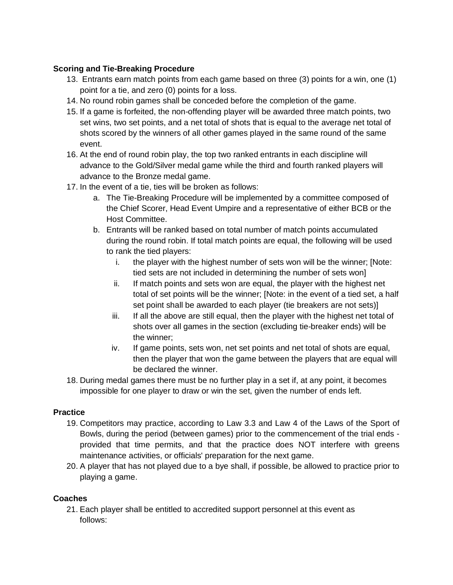## **Scoring and Tie-Breaking Procedure**

- 13. Entrants earn match points from each game based on three (3) points for a win, one (1) point for a tie, and zero (0) points for a loss.
- 14. No round robin games shall be conceded before the completion of the game.
- 15. If a game is forfeited, the non-offending player will be awarded three match points, two set wins, two set points, and a net total of shots that is equal to the average net total of shots scored by the winners of all other games played in the same round of the same event.
- 16. At the end of round robin play, the top two ranked entrants in each discipline will advance to the Gold/Silver medal game while the third and fourth ranked players will advance to the Bronze medal game.
- 17. In the event of a tie, ties will be broken as follows:
	- a. The Tie-Breaking Procedure will be implemented by a committee composed of the Chief Scorer, Head Event Umpire and a representative of either BCB or the Host Committee.
	- b. Entrants will be ranked based on total number of match points accumulated during the round robin. If total match points are equal, the following will be used to rank the tied players:
		- i. the player with the highest number of sets won will be the winner; [Note: tied sets are not included in determining the number of sets won]
		- ii. If match points and sets won are equal, the player with the highest net total of set points will be the winner; [Note: in the event of a tied set, a half set point shall be awarded to each player (tie breakers are not sets)]
		- iii. If all the above are still equal, then the player with the highest net total of shots over all games in the section (excluding tie-breaker ends) will be the winner;
		- iv. If game points, sets won, net set points and net total of shots are equal, then the player that won the game between the players that are equal will be declared the winner.
- 18. During medal games there must be no further play in a set if, at any point, it becomes impossible for one player to draw or win the set, given the number of ends left.

## **Practice**

- 19. Competitors may practice, according to Law 3.3 and Law 4 of the Laws of the Sport of Bowls, during the period (between games) prior to the commencement of the trial ends provided that time permits, and that the practice does NOT interfere with greens maintenance activities, or officials' preparation for the next game.
- 20. A player that has not played due to a bye shall, if possible, be allowed to practice prior to playing a game.

# **Coaches**

21. Each player shall be entitled to accredited support personnel at this event as follows: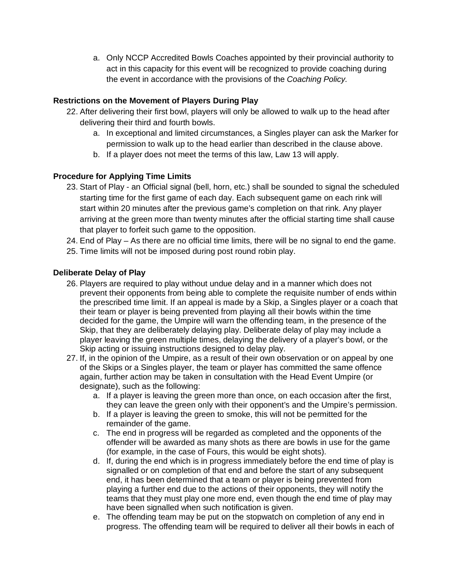a. Only NCCP Accredited Bowls Coaches appointed by their provincial authority to act in this capacity for this event will be recognized to provide coaching during the event in accordance with the provisions of the *Coaching Policy.*

# **Restrictions on the Movement of Players During Play**

- 22. After delivering their first bowl, players will only be allowed to walk up to the head after delivering their third and fourth bowls.
	- a. In exceptional and limited circumstances, a Singles player can ask the Marker for permission to walk up to the head earlier than described in the clause above.
	- b. If a player does not meet the terms of this law, Law 13 will apply.

# **Procedure for Applying Time Limits**

- 23. Start of Play an Official signal (bell, horn, etc.) shall be sounded to signal the scheduled starting time for the first game of each day. Each subsequent game on each rink will start within 20 minutes after the previous game's completion on that rink. Any player arriving at the green more than twenty minutes after the official starting time shall cause that player to forfeit such game to the opposition.
- 24. End of Play As there are no official time limits, there will be no signal to end the game.
- 25. Time limits will not be imposed during post round robin play.

# **Deliberate Delay of Play**

- 26. Players are required to play without undue delay and in a manner which does not prevent their opponents from being able to complete the requisite number of ends within the prescribed time limit. If an appeal is made by a Skip, a Singles player or a coach that their team or player is being prevented from playing all their bowls within the time decided for the game, the Umpire will warn the offending team, in the presence of the Skip, that they are deliberately delaying play. Deliberate delay of play may include a player leaving the green multiple times, delaying the delivery of a player's bowl, or the Skip acting or issuing instructions designed to delay play.
- 27. If, in the opinion of the Umpire, as a result of their own observation or on appeal by one of the Skips or a Singles player, the team or player has committed the same offence again, further action may be taken in consultation with the Head Event Umpire (or designate), such as the following:
	- a. If a player is leaving the green more than once, on each occasion after the first, they can leave the green only with their opponent's and the Umpire's permission.
	- b. If a player is leaving the green to smoke, this will not be permitted for the remainder of the game.
	- c. The end in progress will be regarded as completed and the opponents of the offender will be awarded as many shots as there are bowls in use for the game (for example, in the case of Fours, this would be eight shots).
	- d. If, during the end which is in progress immediately before the end time of play is signalled or on completion of that end and before the start of any subsequent end, it has been determined that a team or player is being prevented from playing a further end due to the actions of their opponents, they will notify the teams that they must play one more end, even though the end time of play may have been signalled when such notification is given.
	- e. The offending team may be put on the stopwatch on completion of any end in progress. The offending team will be required to deliver all their bowls in each of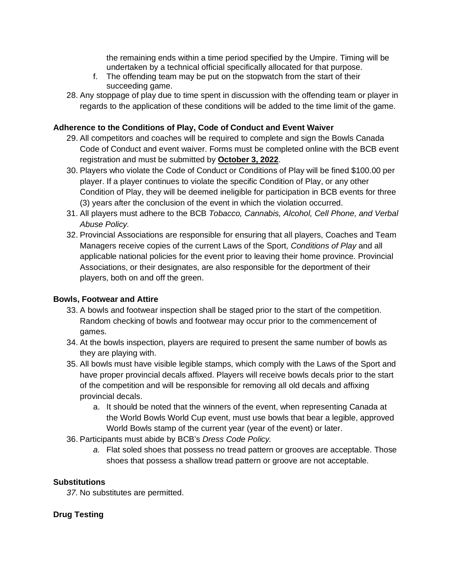the remaining ends within a time period specified by the Umpire. Timing will be undertaken by a technical official specifically allocated for that purpose.

- f. The offending team may be put on the stopwatch from the start of their succeeding game.
- 28. Any stoppage of play due to time spent in discussion with the offending team or player in regards to the application of these conditions will be added to the time limit of the game.

# **Adherence to the Conditions of Play, Code of Conduct and Event Waiver**

- 29. All competitors and coaches will be required to complete and sign the Bowls Canada Code of Conduct and event waiver. Forms must be completed online with the BCB event registration and must be submitted by **October 3, 2022**.
- 30. Players who violate the Code of Conduct or Conditions of Play will be fined \$100.00 per player. If a player continues to violate the specific Condition of Play, or any other Condition of Play, they will be deemed ineligible for participation in BCB events for three (3) years after the conclusion of the event in which the violation occurred.
- 31. All players must adhere to the BCB *Tobacco, Cannabis, Alcohol, Cell Phone, and Verbal Abuse Policy.*
- 32. Provincial Associations are responsible for ensuring that all players, Coaches and Team Managers receive copies of the current Laws of the Sport, *Conditions of Play* and all applicable national policies for the event prior to leaving their home province. Provincial Associations, or their designates, are also responsible for the deportment of their players, both on and off the green.

## **Bowls, Footwear and Attire**

- 33. A bowls and footwear inspection shall be staged prior to the start of the competition. Random checking of bowls and footwear may occur prior to the commencement of games.
- 34. At the bowls inspection, players are required to present the same number of bowls as they are playing with.
- 35. All bowls must have visible legible stamps, which comply with the Laws of the Sport and have proper provincial decals affixed. Players will receive bowls decals prior to the start of the competition and will be responsible for removing all old decals and affixing provincial decals.
	- a. It should be noted that the winners of the event, when representing Canada at the World Bowls World Cup event, must use bowls that bear a legible, approved World Bowls stamp of the current year (year of the event) or later.
- 36. Participants must abide by BCB's *Dress Code Policy.*
	- *a.* Flat soled shoes that possess no tread pattern or grooves are acceptable. Those shoes that possess a shallow tread pattern or groove are not acceptable.

## **Substitutions**

*37.* No substitutes are permitted.

# **Drug Testing**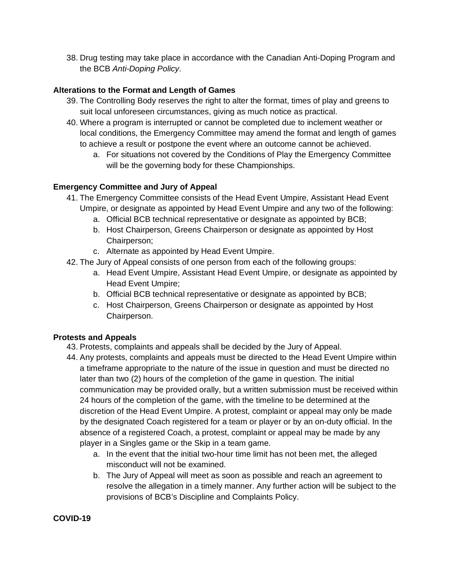38. Drug testing may take place in accordance with the Canadian Anti-Doping Program and the BCB *Anti-Doping Policy*.

## **Alterations to the Format and Length of Games**

- 39. The Controlling Body reserves the right to alter the format, times of play and greens to suit local unforeseen circumstances, giving as much notice as practical.
- 40. Where a program is interrupted or cannot be completed due to inclement weather or local conditions, the Emergency Committee may amend the format and length of games to achieve a result or postpone the event where an outcome cannot be achieved.
	- a. For situations not covered by the Conditions of Play the Emergency Committee will be the governing body for these Championships.

#### **Emergency Committee and Jury of Appeal**

- 41. The Emergency Committee consists of the Head Event Umpire, Assistant Head Event Umpire, or designate as appointed by Head Event Umpire and any two of the following:
	- a. Official BCB technical representative or designate as appointed by BCB;
	- b. Host Chairperson, Greens Chairperson or designate as appointed by Host Chairperson;
	- c. Alternate as appointed by Head Event Umpire.
- 42. The Jury of Appeal consists of one person from each of the following groups:
	- a. Head Event Umpire, Assistant Head Event Umpire, or designate as appointed by Head Event Umpire;
	- b. Official BCB technical representative or designate as appointed by BCB;
	- c. Host Chairperson, Greens Chairperson or designate as appointed by Host Chairperson.

#### **Protests and Appeals**

- 43. Protests, complaints and appeals shall be decided by the Jury of Appeal.
- 44. Any protests, complaints and appeals must be directed to the Head Event Umpire within a timeframe appropriate to the nature of the issue in question and must be directed no later than two (2) hours of the completion of the game in question. The initial communication may be provided orally, but a written submission must be received within 24 hours of the completion of the game, with the timeline to be determined at the discretion of the Head Event Umpire. A protest, complaint or appeal may only be made by the designated Coach registered for a team or player or by an on-duty official. In the absence of a registered Coach, a protest, complaint or appeal may be made by any player in a Singles game or the Skip in a team game.
	- a. In the event that the initial two-hour time limit has not been met, the alleged misconduct will not be examined.
	- b. The Jury of Appeal will meet as soon as possible and reach an agreement to resolve the allegation in a timely manner. Any further action will be subject to the provisions of BCB's Discipline and Complaints Policy.

#### **COVID-19**